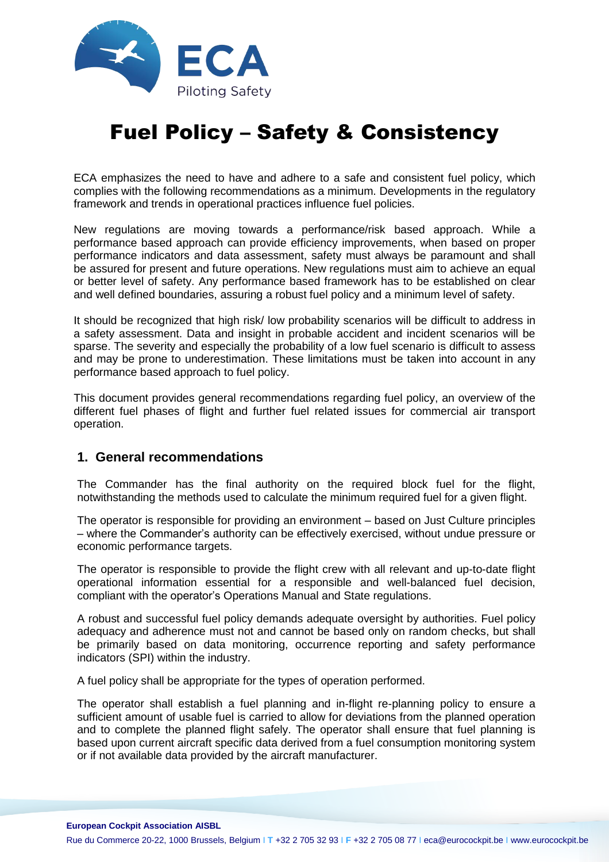

# Fuel Policy – Safety & Consistency

ECA emphasizes the need to have and adhere to a safe and consistent fuel policy, which complies with the following recommendations as a minimum. Developments in the regulatory framework and trends in operational practices influence fuel policies.

New regulations are moving towards a performance/risk based approach. While a performance based approach can provide efficiency improvements, when based on proper performance indicators and data assessment, safety must always be paramount and shall be assured for present and future operations. New regulations must aim to achieve an equal or better level of safety. Any performance based framework has to be established on clear and well defined boundaries, assuring a robust fuel policy and a minimum level of safety.

It should be recognized that high risk/ low probability scenarios will be difficult to address in a safety assessment. Data and insight in probable accident and incident scenarios will be sparse. The severity and especially the probability of a low fuel scenario is difficult to assess and may be prone to underestimation. These limitations must be taken into account in any performance based approach to fuel policy.

This document provides general recommendations regarding fuel policy, an overview of the different fuel phases of flight and further fuel related issues for commercial air transport operation.

# **1. General recommendations**

The Commander has the final authority on the required block fuel for the flight, notwithstanding the methods used to calculate the minimum required fuel for a given flight.

The operator is responsible for providing an environment – based on Just Culture principles – where the Commander's authority can be effectively exercised, without undue pressure or economic performance targets.

The operator is responsible to provide the flight crew with all relevant and up-to-date flight operational information essential for a responsible and well-balanced fuel decision, compliant with the operator's Operations Manual and State regulations.

A robust and successful fuel policy demands adequate oversight by authorities. Fuel policy adequacy and adherence must not and cannot be based only on random checks, but shall be primarily based on data monitoring, occurrence reporting and safety performance indicators (SPI) within the industry.

A fuel policy shall be appropriate for the types of operation performed.

The operator shall establish a fuel planning and in-flight re-planning policy to ensure a sufficient amount of usable fuel is carried to allow for deviations from the planned operation and to complete the planned flight safely. The operator shall ensure that fuel planning is based upon current aircraft specific data derived from a fuel consumption monitoring system or if not available data provided by the aircraft manufacturer.

#### **European Cockpit Association AISBL**

Rue du Commerce 20-22, 1000 Brussels, Belgium I **T** +32 2 705 32 93 I **F** +32 2 705 08 77 I eca@eurocockpit.be I www.eurocockpit.be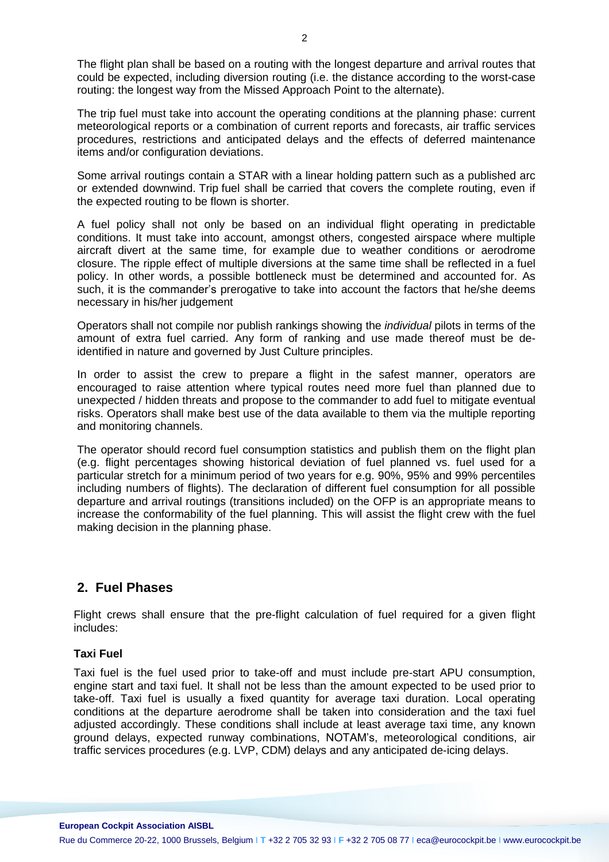The flight plan shall be based on a routing with the longest departure and arrival routes that could be expected, including diversion routing (i.e. the distance according to the worst-case routing: the longest way from the Missed Approach Point to the alternate).

The trip fuel must take into account the operating conditions at the planning phase: current meteorological reports or a combination of current reports and forecasts, air traffic services procedures, restrictions and anticipated delays and the effects of deferred maintenance items and/or configuration deviations.

Some arrival routings contain a STAR with a linear holding pattern such as a published arc or extended downwind. Trip fuel shall be carried that covers the complete routing, even if the expected routing to be flown is shorter.

A fuel policy shall not only be based on an individual flight operating in predictable conditions. It must take into account, amongst others, congested airspace where multiple aircraft divert at the same time, for example due to weather conditions or aerodrome closure. The ripple effect of multiple diversions at the same time shall be reflected in a fuel policy. In other words, a possible bottleneck must be determined and accounted for. As such, it is the commander's prerogative to take into account the factors that he/she deems necessary in his/her judgement

Operators shall not compile nor publish rankings showing the *individual* pilots in terms of the amount of extra fuel carried. Any form of ranking and use made thereof must be deidentified in nature and governed by Just Culture principles.

In order to assist the crew to prepare a flight in the safest manner, operators are encouraged to raise attention where typical routes need more fuel than planned due to unexpected / hidden threats and propose to the commander to add fuel to mitigate eventual risks. Operators shall make best use of the data available to them via the multiple reporting and monitoring channels.

The operator should record fuel consumption statistics and publish them on the flight plan (e.g. flight percentages showing historical deviation of fuel planned vs. fuel used for a particular stretch for a minimum period of two years for e.g. 90%, 95% and 99% percentiles including numbers of flights). The declaration of different fuel consumption for all possible departure and arrival routings (transitions included) on the OFP is an appropriate means to increase the conformability of the fuel planning. This will assist the flight crew with the fuel making decision in the planning phase.

# **2. Fuel Phases**

Flight crews shall ensure that the pre-flight calculation of fuel required for a given flight includes:

## **Taxi Fuel**

Taxi fuel is the fuel used prior to take-off and must include pre-start APU consumption, engine start and taxi fuel. It shall not be less than the amount expected to be used prior to take-off. Taxi fuel is usually a fixed quantity for average taxi duration. Local operating conditions at the departure aerodrome shall be taken into consideration and the taxi fuel adjusted accordingly. These conditions shall include at least average taxi time, any known ground delays, expected runway combinations, NOTAM's, meteorological conditions, air traffic services procedures (e.g. LVP, CDM) delays and any anticipated de-icing delays.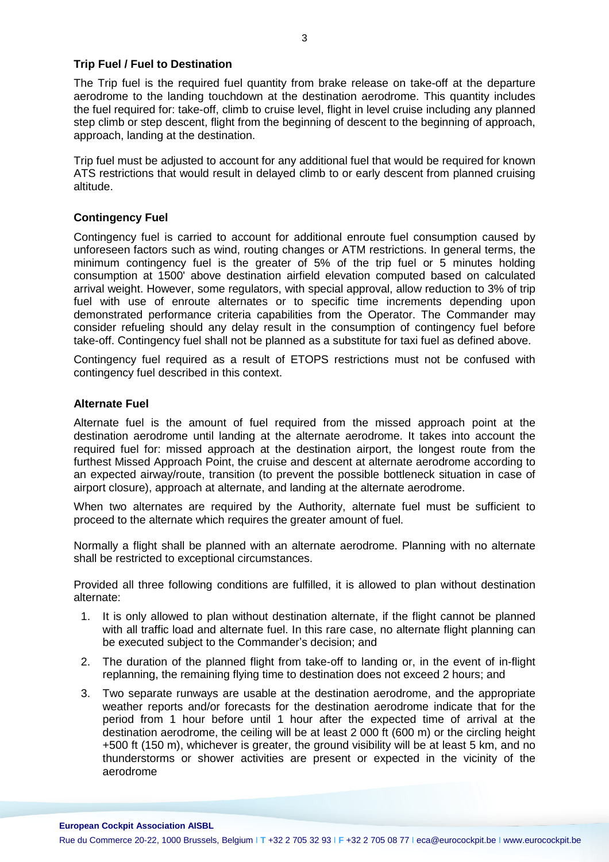#### **Trip Fuel / Fuel to Destination**

The Trip fuel is the required fuel quantity from brake release on take-off at the departure aerodrome to the landing touchdown at the destination aerodrome. This quantity includes the fuel required for: take-off, climb to cruise level, flight in level cruise including any planned step climb or step descent, flight from the beginning of descent to the beginning of approach, approach, landing at the destination.

Trip fuel must be adjusted to account for any additional fuel that would be required for known ATS restrictions that would result in delayed climb to or early descent from planned cruising altitude.

## **Contingency Fuel**

Contingency fuel is carried to account for additional enroute fuel consumption caused by unforeseen factors such as wind, routing changes or ATM restrictions. In general terms, the minimum contingency fuel is the greater of 5% of the trip fuel or 5 minutes holding consumption at 1500' above destination airfield elevation computed based on calculated arrival weight. However, some regulators, with special approval, allow reduction to 3% of trip fuel with use of enroute alternates or to specific time increments depending upon demonstrated performance criteria capabilities from the Operator. The Commander may consider refueling should any delay result in the consumption of contingency fuel before take-off. Contingency fuel shall not be planned as a substitute for taxi fuel as defined above.

Contingency fuel required as a result of ETOPS restrictions must not be confused with contingency fuel described in this context.

#### **Alternate Fuel**

Alternate fuel is the amount of fuel required from the missed approach point at the destination aerodrome until landing at the alternate aerodrome. It takes into account the required fuel for: missed approach at the destination airport, the longest route from the furthest Missed Approach Point, the cruise and descent at alternate aerodrome according to an expected airway/route, transition (to prevent the possible bottleneck situation in case of airport closure), approach at alternate, and landing at the alternate aerodrome.

When two alternates are required by the Authority, alternate fuel must be sufficient to proceed to the alternate which requires the greater amount of fuel.

Normally a flight shall be planned with an alternate aerodrome. Planning with no alternate shall be restricted to exceptional circumstances.

Provided all three following conditions are fulfilled, it is allowed to plan without destination alternate:

- 1. It is only allowed to plan without destination alternate, if the flight cannot be planned with all traffic load and alternate fuel. In this rare case, no alternate flight planning can be executed subject to the Commander's decision; and
- 2. The duration of the planned flight from take-off to landing or, in the event of in-flight replanning, the remaining flying time to destination does not exceed 2 hours; and
- 3. Two separate runways are usable at the destination aerodrome, and the appropriate weather reports and/or forecasts for the destination aerodrome indicate that for the period from 1 hour before until 1 hour after the expected time of arrival at the destination aerodrome, the ceiling will be at least 2 000 ft (600 m) or the circling height +500 ft (150 m), whichever is greater, the ground visibility will be at least 5 km, and no thunderstorms or shower activities are present or expected in the vicinity of the aerodrome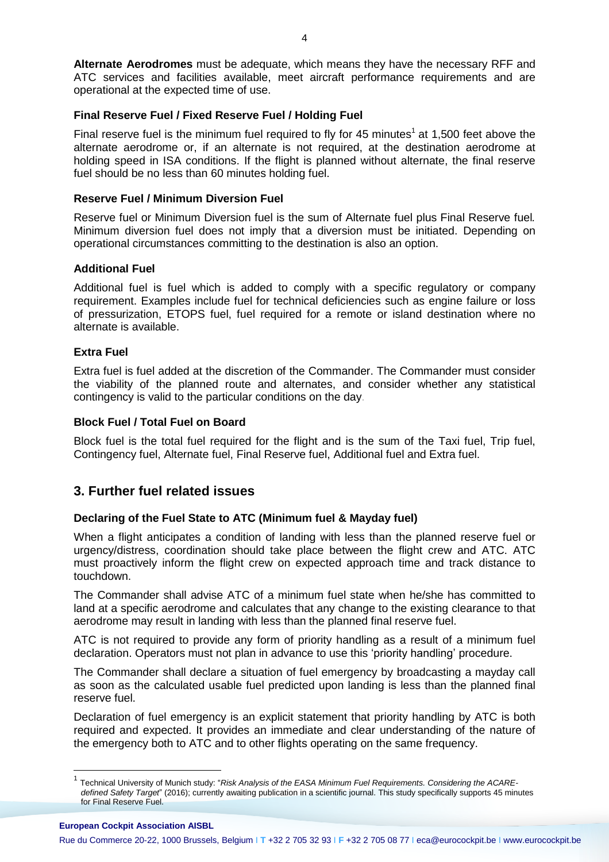**Alternate Aerodromes** must be adequate, which means they have the necessary RFF and ATC services and facilities available, meet aircraft performance requirements and are operational at the expected time of use.

#### **Final Reserve Fuel / Fixed Reserve Fuel / Holding Fuel**

Final reserve fuel is the minimum fuel required to fly for 45 minutes<sup>1</sup> at 1,500 feet above the alternate aerodrome or, if an alternate is not required, at the destination aerodrome at holding speed in ISA conditions. If the flight is planned without alternate, the final reserve fuel should be no less than 60 minutes holding fuel.

#### **Reserve Fuel / Minimum Diversion Fuel**

Reserve fuel or Minimum Diversion fuel is the sum of Alternate fuel plus Final Reserve fuel*.* Minimum diversion fuel does not imply that a diversion must be initiated. Depending on operational circumstances committing to the destination is also an option.

#### **Additional Fuel**

Additional fuel is fuel which is added to comply with a specific regulatory or company requirement. Examples include fuel for technical deficiencies such as engine failure or loss of pressurization, ETOPS fuel, fuel required for a remote or island destination where no alternate is available.

#### **Extra Fuel**

Extra fuel is fuel added at the discretion of the Commander. The Commander must consider the viability of the planned route and alternates, and consider whether any statistical contingency is valid to the particular conditions on the day.

#### **Block Fuel / Total Fuel on Board**

Block fuel is the total fuel required for the flight and is the sum of the Taxi fuel, Trip fuel, Contingency fuel, Alternate fuel, Final Reserve fuel, Additional fuel and Extra fuel.

# **3. Further fuel related issues**

#### **Declaring of the Fuel State to ATC (Minimum fuel & Mayday fuel)**

When a flight anticipates a condition of landing with less than the planned reserve fuel or urgency/distress, coordination should take place between the flight crew and ATC. ATC must proactively inform the flight crew on expected approach time and track distance to touchdown.

The Commander shall advise ATC of a minimum fuel state when he/she has committed to land at a specific aerodrome and calculates that any change to the existing clearance to that aerodrome may result in landing with less than the planned final reserve fuel.

ATC is not required to provide any form of priority handling as a result of a minimum fuel declaration. Operators must not plan in advance to use this 'priority handling' procedure.

The Commander shall declare a situation of fuel emergency by broadcasting a mayday call as soon as the calculated usable fuel predicted upon landing is less than the planned final reserve fuel.

Declaration of fuel emergency is an explicit statement that priority handling by ATC is both required and expected. It provides an immediate and clear understanding of the nature of the emergency both to ATC and to other flights operating on the same frequency.

**European Cockpit Association AISBL**

 $\overline{a}$ 

<sup>1</sup> Technical University of Munich study: "*Risk Analysis of the EASA Minimum Fuel Requirements. Considering the ACAREdefined Safety Target*" (2016); currently awaiting publication in a scientific journal. This study specifically supports 45 minutes for Final Reserve Fuel.